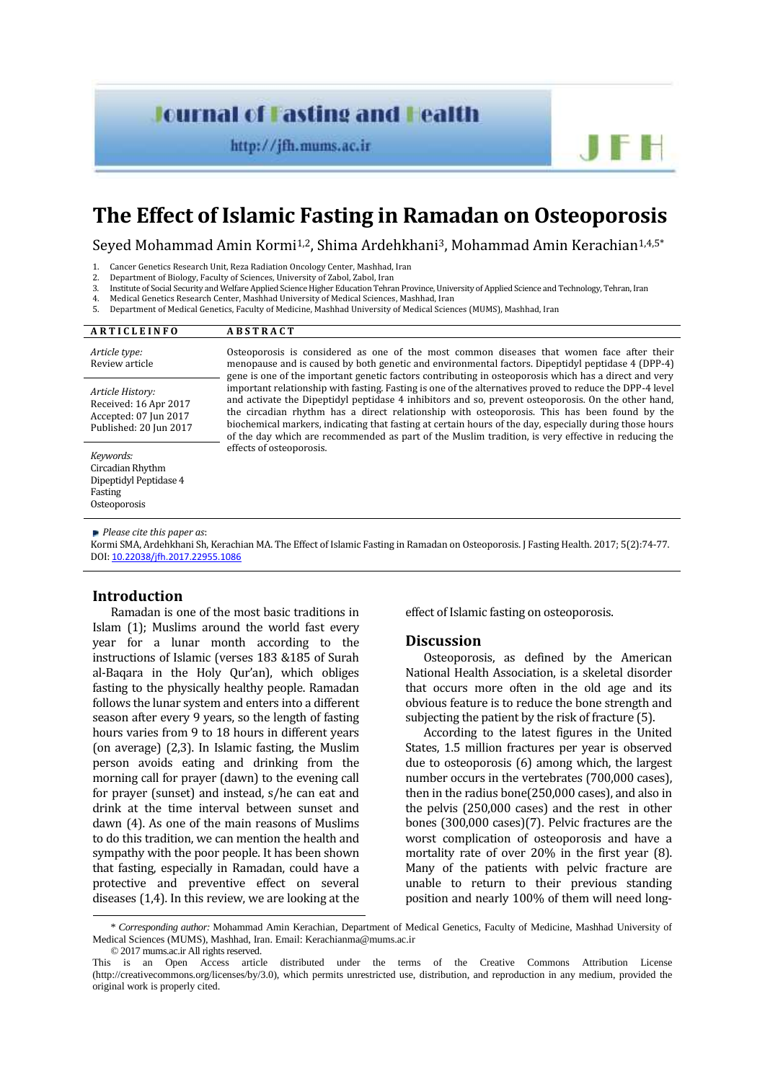# **Journal of Fasting and Fealth**

http://jfh.mums.ac.ir

# **The Effect of Islamic Fasting in Ramadan on Osteoporosis**

Seyed Mohammad Amin Kormi<sup>1,2</sup>, Shima Ardehkhani<sup>3</sup>, Mohammad Amin Kerachian<sup>1,4,5\*</sup>

1. Cancer Genetics Research Unit, Reza Radiation Oncology Center, Mashhad, Iran<br>2. Department of Biology Faculty of Sciences University of Zahol. Zahol. Iran

- 2. Department of Biology, Faculty of Sciences, University of Zabol, Zabol, Iran 3. Institute of Social Security and Welfare Applied Science Higher Education Tehra
- 3. Institute of Social Security and Welfare Applied Science Higher Education Tehran Province, University of Applied Science and Technology, Tehran, Iran
- 4. Medical Genetics Research Center, Mashhad University of Medical Sciences, Mashhad, Iran E. Department of Medical Centers, Resulty of Medical Sciences, Mashhad, Iran 5. Department of Medical Genetics, Faculty of Medicine, Mashhad University of Medical Sciences (MUMS), Mashhad, Iran

| <b>ARTICLEINFO</b>                                                                           | <b>ABSTRACT</b>                                                                                                                                                                                                                                                                                                                                                                                                                                                                                                                                                                                                                                                                                                                                                                                                                                                          |
|----------------------------------------------------------------------------------------------|--------------------------------------------------------------------------------------------------------------------------------------------------------------------------------------------------------------------------------------------------------------------------------------------------------------------------------------------------------------------------------------------------------------------------------------------------------------------------------------------------------------------------------------------------------------------------------------------------------------------------------------------------------------------------------------------------------------------------------------------------------------------------------------------------------------------------------------------------------------------------|
| Article type:<br>Review article                                                              | Osteoporosis is considered as one of the most common diseases that women face after their<br>menopause and is caused by both genetic and environmental factors. Dipeptidyl peptidase 4 (DPP-4)<br>gene is one of the important genetic factors contributing in osteoporosis which has a direct and very<br>important relationship with fasting. Fasting is one of the alternatives proved to reduce the DPP-4 level<br>and activate the Dipeptidyl peptidase 4 inhibitors and so, prevent osteoporosis. On the other hand,<br>the circadian rhythm has a direct relationship with osteoporosis. This has been found by the<br>biochemical markers, indicating that fasting at certain hours of the day, especially during those hours<br>of the day which are recommended as part of the Muslim tradition, is very effective in reducing the<br>effects of osteoporosis. |
| Article History:<br>Received: 16 Apr 2017<br>Accepted: 07 Jun 2017<br>Published: 20 Jun 2017 |                                                                                                                                                                                                                                                                                                                                                                                                                                                                                                                                                                                                                                                                                                                                                                                                                                                                          |
| Keywords:<br>Circadian Rhythm<br>Dipeptidyl Peptidase 4<br>Fasting<br>Osteoporosis           |                                                                                                                                                                                                                                                                                                                                                                                                                                                                                                                                                                                                                                                                                                                                                                                                                                                                          |

*Please cite this paper as*:

Kormi SMA, Ardehkhani Sh, Kerachian MA. The Effect of Islamic Fasting in Ramadan on Osteoporosis. J Fasting Health. 2017; 5(2):74-77. DOI: 10.22038/jfh.2017.22955.1086

## **Introduction**

Ramadan is one of the most basic traditions in Islam (1); Muslims around the world fast every year for a lunar month according to the instructions of Islamic (verses 183 &185 of Surah al-Baqara in the Holy Qur'an), which obliges fasting to the physically healthy people. Ramadan follows the lunar system and enters into a different season after every 9 years, so the length of fasting hours varies from 9 to 18 hours in different years (on average) (2,3). In Islamic fasting, the Muslim person avoids eating and drinking from the morning call for prayer (dawn) to the evening call for prayer (sunset) and instead, s/he can eat and drink at the time interval between sunset and dawn (4). As one of the main reasons of Muslims to do this tradition, we can mention the health and sympathy with the poor people. It has been shown that fasting, especially in Ramadan, could have a protective and preventive effect on several diseases (1,4). In this review, we are looking at the

effect of Islamic fasting on osteoporosis.

## **Discussion**

Osteoporosis, as defined by the American National Health Association, is a skeletal disorder that occurs more often in the old age and its obvious feature is to reduce the bone strength and subjecting the patient by the risk of fracture (5).

According to the latest figures in the United States, 1.5 million fractures per year is observed due to osteoporosis (6) among which, the largest number occurs in the vertebrates (700,000 cases), then in the radius bone(250,000 cases), and also in the pelvis (250,000 cases) and the rest in other bones (300,000 cases)(7). Pelvic fractures are the worst complication of osteoporosis and have a mortality rate of over 20% in the first year (8). Many of the patients with pelvic fracture are unable to return to their previous standing position and nearly 100% of them will need long-

<sup>\*</sup> *Corresponding author:* Mohammad Amin Kerachian, Department of Medical Genetics, Faculty of Medicine, Mashhad University of Medical Sciences (MUMS), Mashhad, Iran. Email: Kerachianma@mums.ac.ir © 2017 mums.ac.ir All rights reserved.

This is an Open Access article distributed under the terms of the Creative Commons Attribution License (http://creativecommons.org/licenses/by/3.0), which permits unrestricted use, distribution, and reproduction in any medium, provided the original work is properly cited.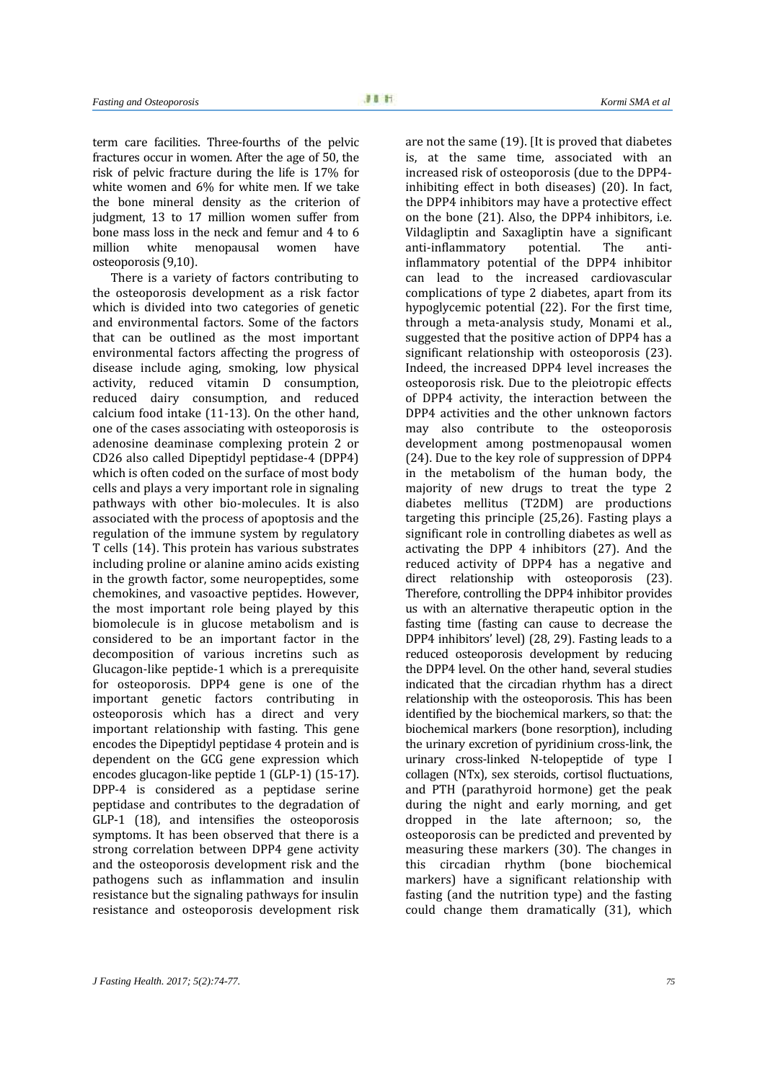term care facilities. Three-fourths of the pelvic fractures occur in women. After the age of 50, the risk of pelvic fracture during the life is 17% for white women and 6% for white men. If we take the bone mineral density as the criterion of judgment, 13 to 17 million women suffer from bone mass loss in the neck and femur and 4 to 6<br>million white menopausal women have white menopausal osteoporosis (9,10).

There is a variety of factors contributing to the osteoporosis development as a risk factor which is divided into two categories of genetic and environmental factors. Some of the factors that can be outlined as the most important environmental factors affecting the progress of disease include aging, smoking, low physical activity, reduced vitamin D consumption, reduced dairy consumption, and reduced calcium food intake (11-13). On the other hand, one of the cases associating with osteoporosis is adenosine deaminase complexing protein 2 or CD26 also called Dipeptidyl peptidase-4 (DPP4) which is often coded on the surface of most body cells and plays a very important role in signaling pathways with other bio-molecules. It is also associated with the process of apoptosis and the regulation of the immune system by regulatory T cells (14). This protein has various substrates including proline or alanine amino acids existing in the growth factor, some neuropeptides, some chemokines, and vasoactive peptides. However, the most important role being played by this biomolecule is in glucose metabolism and is considered to be an important factor in the decomposition of various incretins such as Glucagon-like peptide-1 which is a prerequisite for osteoporosis. DPP4 gene is one of the important genetic factors contributing in osteoporosis which has a direct and very important relationship with fasting. This gene encodes the Dipeptidyl peptidase 4 protein and is dependent on the GCG gene expression which encodes glucagon-like peptide 1 (GLP-1) (15-17). DPP-4 is considered as a peptidase serine peptidase and contributes to the degradation of GLP-1 (18), and intensifies the osteoporosis symptoms. It has been observed that there is a strong correlation between DPP4 gene activity and the osteoporosis development risk and the pathogens such as inflammation and insulin resistance but the signaling pathways for insulin resistance and osteoporosis development risk

*Fasting and Osteoporosis Kormi SMA et al*

are not the same (19). [It is proved that diabetes is, at the same time, associated with an increased risk of osteoporosis (due to the DPP4 inhibiting effect in both diseases) (20). In fact, the DPP4 inhibitors may have a protective effect on the bone (21). Also, the DPP4 inhibitors, i.e. Vildagliptin and Saxagliptin have a significant<br>anti-inflammatory potential. The antianti-inflammatory inflammatory potential of the DPP4 inhibitor can lead to the increased cardiovascular complications of type 2 diabetes, apart from its hypoglycemic potential (22). For the first time, through a meta-analysis study, Monami et al., suggested that the positive action of DPP4 has a significant relationship with osteoporosis (23). Indeed, the increased DPP4 level increases the osteoporosis risk. Due to the pleiotropic effects of DPP4 activity, the interaction between the DPP4 activities and the other unknown factors may also contribute to the osteoporosis development among postmenopausal women (24). Due to the key role of suppression of DPP4 in the metabolism of the human body, the majority of new drugs to treat the type 2 diabetes mellitus (T2DM) are productions targeting this principle (25,26). Fasting plays a significant role in controlling diabetes as well as activating the DPP 4 inhibitors (27). And the reduced activity of DPP4 has a negative and direct relationship with osteoporosis (23). Therefore, controlling the DPP4 inhibitor provides us with an alternative therapeutic option in the fasting time (fasting can cause to decrease the DPP4 inhibitors' level) (28, 29). Fasting leads to a reduced osteoporosis development by reducing the DPP4 level. On the other hand, several studies indicated that the circadian rhythm has a direct relationship with the osteoporosis. This has been identified by the biochemical markers, so that: the biochemical markers (bone resorption), including the urinary excretion of pyridinium cross-link, the urinary cross-linked N-telopeptide of type I collagen (NTx), sex steroids, cortisol fluctuations, and PTH (parathyroid hormone) get the peak during the night and early morning, and get dropped in the late afternoon; so, the osteoporosis can be predicted and prevented by measuring these markers (30). The changes in this circadian rhythm (bone biochemical markers) have a significant relationship with fasting (and the nutrition type) and the fasting could change them dramatically (31), which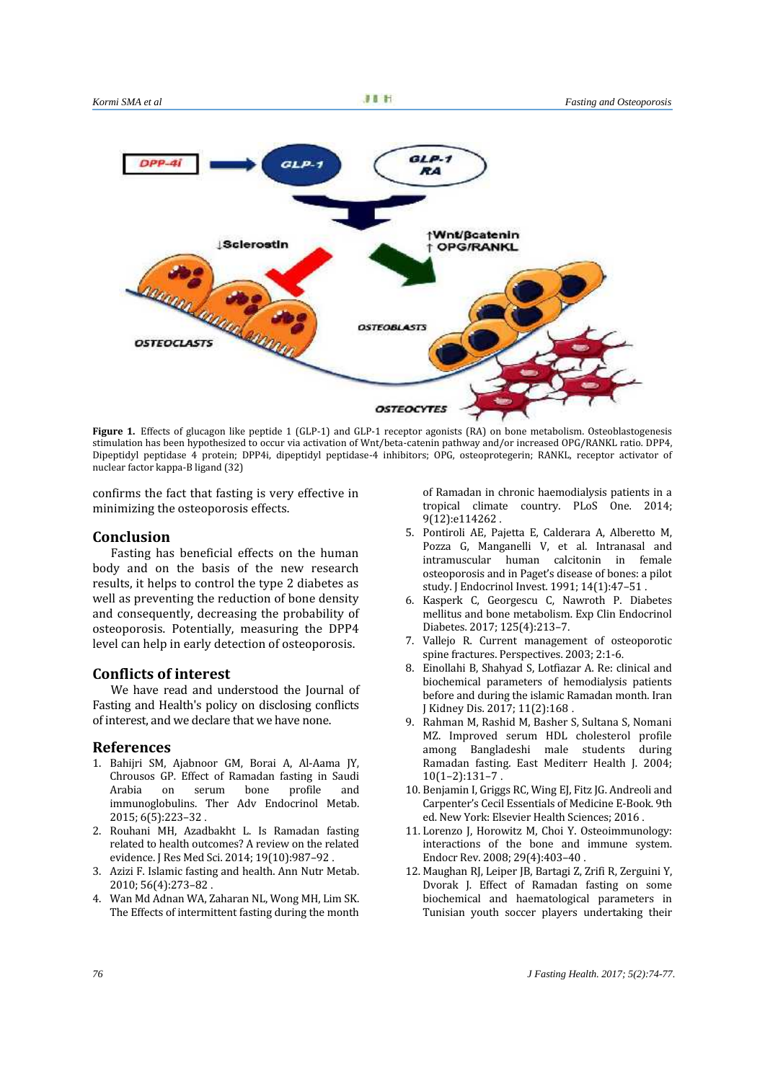

**Figure 1.** Effects of glucagon like peptide 1 (GLP-1) and GLP-1 receptor agonists (RA) on bone metabolism. Osteoblastogenesis stimulation has been hypothesized to occur via activation of Wnt/beta-catenin pathway and/or increased OPG/RANKL ratio. DPP4, Dipeptidyl peptidase 4 protein; DPP4i, dipeptidyl peptidase-4 inhibitors; OPG, osteoprotegerin; RANKL, receptor activator of nuclear factor kappa-B ligand (32)

confirms the fact that fasting is very effective in minimizing the osteoporosis effects.

### **Conclusion**

Fasting has beneficial effects on the human body and on the basis of the new research results, it helps to control the type 2 diabetes as well as preventing the reduction of bone density and consequently, decreasing the probability of osteoporosis. Potentially, measuring the DPP4 level can help in early detection of osteoporosis.

### **Conflicts of interest**

We have read and understood the Journal of Fasting and Health's policy on disclosing conflicts of interest, and we declare that we have none.

#### **References**

- 1. Bahijri SM, Ajabnoor GM, Borai A, Al-Aama JY, Chrousos GP. Effect of Ramadan fasting in Saudi bone profile immunoglobulins. Ther Adv Endocrinol Metab. 2015; 6(5):223–32 .
- 2. Rouhani MH, Azadbakht L. Is Ramadan fasting related to health outcomes? A review on the related evidence. J Res Med Sci. 2014; 19(10):987–92 .
- 3. Azizi F. Islamic fasting and health. Ann Nutr Metab. 2010; 56(4):273–82 .
- 4. Wan Md Adnan WA, Zaharan NL, Wong MH, Lim SK. The Effects of intermittent fasting during the month

of Ramadan in chronic haemodialysis patients in a tropical climate country. PLoS One. 2014; 9(12):e114262 .

- 5. Pontiroli AE, Pajetta E, Calderara A, Alberetto M, Pozza G, Manganelli V, et al. Intranasal and intramuscular human calcitonin in female osteoporosis and in Paget's disease of bones: a pilot study. J Endocrinol Invest. 1991; 14(1):47–51 .
- 6. Kasperk C, Georgescu C, Nawroth P. Diabetes mellitus and bone metabolism. Exp Clin Endocrinol Diabetes. 2017; 125(4):213–7.
- 7. Vallejo R. Current management of osteoporotic spine fractures. Perspectives. 2003; 2:1-6.
- 8. Einollahi B, Shahyad S, Lotfiazar A. Re: clinical and biochemical parameters of hemodialysis patients before and during the islamic Ramadan month. Iran J Kidney Dis. 2017; 11(2):168 .
- 9. Rahman M, Rashid M, Basher S, Sultana S, Nomani MZ. Improved serum HDL cholesterol profile among Bangladeshi male students during Ramadan fasting. East Mediterr Health J. 2004;  $10(1-2):131-7$ .
- 10. Benjamin I, Griggs RC, Wing EJ, Fitz JG. Andreoli and Carpenter's Cecil Essentials of Medicine E-Book. 9th ed. New York: Elsevier Health Sciences; 2016 .
- 11. Lorenzo J, Horowitz M, Choi Y. Osteoimmunology: interactions of the bone and immune system. Endocr Rev. 2008; 29(4):403–40 .
- 12. Maughan RJ, Leiper JB, Bartagi Z, Zrifi R, Zerguini Y, Dvorak J. Effect of Ramadan fasting on some biochemical and haematological parameters in Tunisian youth soccer players undertaking their